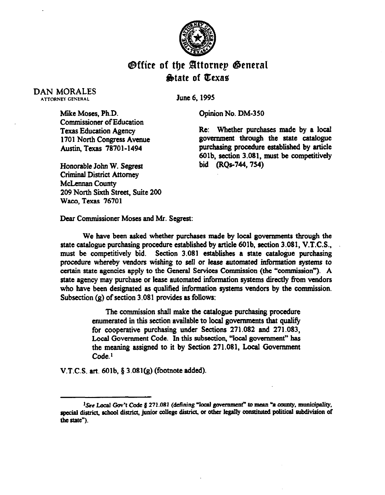

## **Office of the Attornep General** diMate of Qexas

## DAN MORALES ATTORNEY GENERAL

June 6,199s

Opinion No. DM-350

Mike Moses, Ph.D. Commissioner of Education Texas Education Agency 1701 North Congress Avenue Austin, Texas 78701-1494

Honorable John W. Segrest Criminal District Attorney McLennan County 209 North Sixth Street, Suite 200 Waco, Texas 76701

Re: Whether purchases made by a local government through the state catalogue purchasing procedure established by article 6Olb, section 3.081, must be competitively bid (RQs-744,754)

Dear Commissioner Moses and Mr. Segrest:

We have been asked whether purchases made by local governments through the state catalogue purchasing procedure established by article 6Olb. section 3.081, V.T.C.S., must be competitively bid. Section 3.081 establishes a state catalogue purchasing procedure whereby vendors wishing to sell or lease automated information systems to certain state agencies apply to the General Services Commission (the "commission"). A state agency may purchase or lease automated information systems directly from vendors who have been designated as qualified information systems vendors by the commission. Subsection  $(g)$  of section 3.081 provides as follows:

> The commission shall make the catalogue purchasing procedure enumerated in this section available to local govemments that qualify for cooperative purchasing under Sections 271.082 and 271.083, Local Government Code. In this subsection, "local government" has the meaning assigned to it by Section 271.081, Local Government Code.<sup>1</sup>

V.T.C.S. art. 6Olb. 8 3.081(g) (footnote added).

<sup>&</sup>lt;sup>1</sup>See Local Gov't Code § 271.081 (defining "local government" to mean "a county, municipality, special district, school district, junior college district, or other legally constituted political subdivision of the state").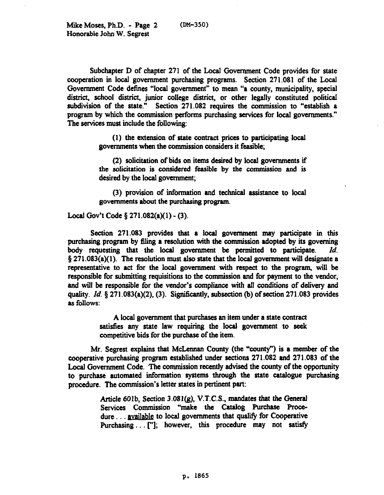Subchapter D of chapter 271 of the Local Government Code provides for state cooperation in local government purchasing programs. Section 271.081 of the Local Government Code defines "local government" to mean "a county, municipality, special **district,** school **district, junior** college district. or other legahy constituted political subdivision of the state." Section 271.082 requires the commission to "establish a program by which the commission performs purchasing services for local governments." The services must include the following:

> (1) the extension of state contract prices to participating local governments when the commission considers it feasible;

> *(2)* solicitation of bids on items desired by local governments if the solicitation is considered feasible by the commission and is desired by the local government;

> (3) provision of information and technical assistance to local governments about the purchasing program.

Local Gov't Code § 271.082(a)(1) - (3).

Section 271.083 provides that a local govemment may participate in this purchasing program by 6ling a resolution with the commission adopted by its governing body requesting that the local govetnment be permitted to participate. *Id.*   $\S 271.083(a)(1)$ . The resolution must also state that the local government will designate a representative to act for the local government with respect to the program, will be responsible for submitting requisitions to the commission and for payment to the vendor, and will be responsible for the vendor's compliance with all conditions of delivery and quality.  $Id.$   $\S$  271.083(a)(2), (3). Significantly, subsection (b) of section 271.083 provides as follows:

> A local government that purchases an item under a state contract satisfies any state law requiring the local government to seek competitive bids for the purchase of the item.

Mr. Segrest explains that McLennan County (the "county") is a member of the cooperative purchasing program established under sections 271.082 and 271.083 of the Local Government Code. The commission recently advised the county of the opportunity to purchase automated information systems through the state catalogue purchasing procedure. The commission's letter states in pertinent part:

> Article 601b, Section 3.081(g), V.T.C.S., mandates that the General Services Commission "make the Catalog Purchase Procedure . . . available to local governments that qualify for Cooperative Purchasing... ["]; however, this procedure may not satisfy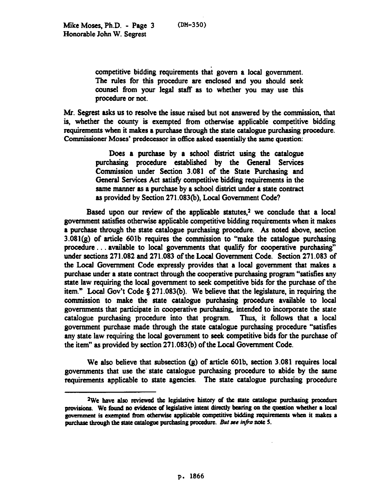competitive bidding requirements that govern a local government. The rules for this procedure are enclosed and you should seek counsel from your legal staff as to whether you may use this procedure or not.

Mr. Segrest asks us to resolve the issue raised but not answered by the commission, that is, whether the county is exempted from otherwise applicable competitive bidding requirements when it makes a purchase through the state catalogue purchasing procedure. Commissioner Moses' predecessor in office asked essentially the same question:

> Does a purchase by a school district using the catalogue purchasing procedure established by the General Services Commission under Section 3.081 of the State Purchasing and General Services Act satisfy competitive bidding requirements in the same manner as a purchase by a school district under a state contract as provided by Section 271.083(b), Local Government Code?

Based upon our review of the applicable statutes, $2$  we conclude that a local government satisfies otherwise applicable competitive bidding requirements when it makes a purchase through the state catalogue purchasing procedure. As noted above, section  $3.081(g)$  of article 601b requires the commission to "make the catalogue purchasing procedure. . available to local governments that qualify for cooperative purchasing" under sections 271.082 and 271.083 of the Local Government Code. Section 271.083 of the Local Government Code expressly provides that a local government that makes a purchase under a state contract through the cooperative purchasing program "satisties any state law requiring the local government to seek competitive bids for the purchase of the item." Local Gov't Code  $\S 271.083(b)$ . We believe that the legislature, in requiring the commission to make the state catalogue purchasing procedure available to local governments that participate in cooperative purchasing, intended to incorporate the state catalogue purchasing procedure into that program. Thus, it follows that a local government purchase made through the state catalogue purchasing procedure "satisfies any state law requiring the local government to seek competitive bids for the purchase of the item" as provided by section 271.083(b) of the Local Government Code.

We also believe that subsection (g) of article 601b, section 3.081 requires local governments that use the' state catalogue purchasing procedure to abide by the same requirements applicable to state agencies. The state catalogue purchasing procedure

<sup>&</sup>lt;sup>2</sup>We have also reviewed the legislative history of the state catalogue purchasing procedure provisions. We found no evidence of legislative intent directly bearing on the question whether a local government is exempted from otherwise applicable competitive bidding requirements when it makes a purchase through the state catalogue purchasing procedure. But see infra note 5.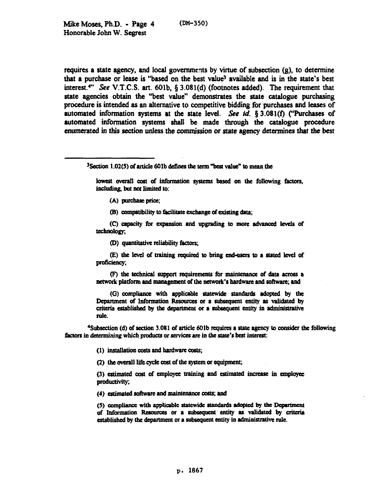requires a state agency, and local governments by virtue of subsection  $(g)$ , to determine that a purchase or lease is "based on the best value" available and is in the state's best interest.<sup>4"</sup> See V.T.C.S. art. 601b, § 3.081(d) (footnotes added). The requirement that state agencies obtain the "best value" demonstrates the state catalogue purchasing procedure is intended as an alternative to competitive bidding for purchases and leases of automated information systems at the state level. See id.  $\S 3.081(f)$  ("Purchases of automated information systems shall be made through the catalogue procedure enumerated in this section unless the commission or state agency determines that the best

 $3$  Section 1.02(5) of article 601b defines the term "best value" to mean the

lowest overall cost of information systems based on the following factors, including, but not limited to:

(A) purchase price;

(B) compatibility to facilitate exchange of existing data;

(C) capacity for expansion and upgrading to more advanced levels of technology.

(D) quantitative reliability factors:

(E) the level of training required to bring end-users to a stated level of proficiency:

(F) the technical support requirements for maintenance of data across a network platform and management of the network's hardware and software; and

(G) compliance with applicable statewide standards adopted by the Department of Information Resources or a subsequent entity as validated by criteria established by the department or a subsequent entity in administrative rule.

<sup>4</sup>Subsection (d) of section 3.081 of article 601b requires a state agency to consider the following factors in determining which products or services are in the state's best interest:

(1) installation costs and hardware costs;

(2) the overall life cycle cost of the system or equipment;

(3) estimated cost of employee training and estimated increase in employee productivity;

(4) estimated software and maintenance costs; and

(5) compliance with applicable statewide standards adopted by the Department of Information Resources or a subsequent entity as validated by criteria established by the department or a subsequent entity in administrative rule.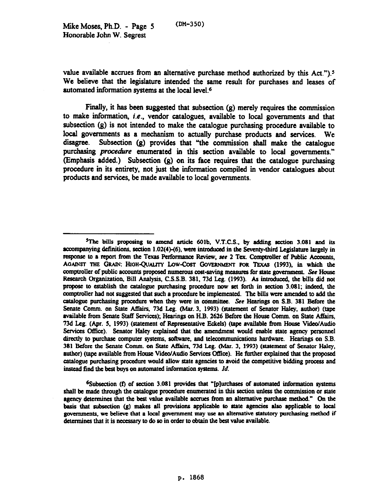value available accrues from an alternative purchase method authorized by this Act." $)$ .<sup>5</sup> We believe that the legislature intended the same result for purchases and leases of automated information systems at the local level.6

Finally, it has been suggested that subsection (g) merely requires the commission to make information, i.e., vendor catalogues, available to local governments and that subsection (g) is not intended to make the catalogue purchasing procedure available to local governments as a mechanism to actually purchase products and services. We disagree. Subsection (9) provides that "the commission shall make the catalogue purchasing *procedure* enumerated in this section available to local governments." (Emphasis added.) Subsection  $(g)$  on its face requires that the catalogue purchasing procedure in its entirety, not just the information compiled in vendor cetalogues about products and services, be made available to local govemments.

 $6$ Subsection (f) of section 3.081 provides that "[p]urchases of automated information systems shall be made through the catalogue procedure enumerated in this section unless the commission or state agency determines that the best value available accroes from an alternative purchase method." On the basis that subsection  $(g)$  makes all provisions applicable to state agencies also applicable to local governments, we believe that a local government may use an alternative statutory purchasing method if determines that it is necessary to do so in order to obtain the best value available.

 $5$ The bills proposing to amend article 601b, V.T.C.S., by adding section 3.081 and its accompanying definitions, section 1.02(4)-(6), were introduced in the Seventy-third Legislature largely in response to a report from the Texas Performance Review, see 2 Tex. Comptroller of Public Accounts, AGAINST THE GRAIN: HIGH-QUALITY LOW-COST GOVERNMENT FOR TEXAS (1993), in which the comptroller of public accounts proposed numerous cost-saving measures for state government. See House Research Organization, Bill Analysis, C.S.S.B. 381, 73d Leg. (1993). As introduced, the bills did not propose to establish the catalogue purchasing procedure now set forth in section 3.081; indeed, the comptroller had not suggested that such a procedure be implemented. The bills were amended to add the catalogue purchasing procedure when they were in committee. See Hearings on S.B. 381 Before the Senate Comm. on State Affairs, 73d Leg. (Mar. 3, 1993) (statement of Senator Haley, author) (tape available from Senate Staff Services); Hearings on H.B. 2626 Before the House Comm. on State Affairs. 73d Leg. (Apr. 5, 1993) (statement of Representative Eckels) (tape available from House Video/Audio Services Office). Senator Haley explained that the amendment would enable state agency personnel directly to purchase computer systems, software, and telecommunications hardware. Hearings on S.B. 381 Before the Senate Comm. on State Affairs, 73d Leg. (Mar. 3, 1993) (statement of Senator Haley, author) (tape available from House Video/Audio Services Office). He further explained that the proposed catalogue purchasing procedure would allow state agencies to avoid the competitive bidding process and inscad find the bca buys on automated information systems. *Id.*